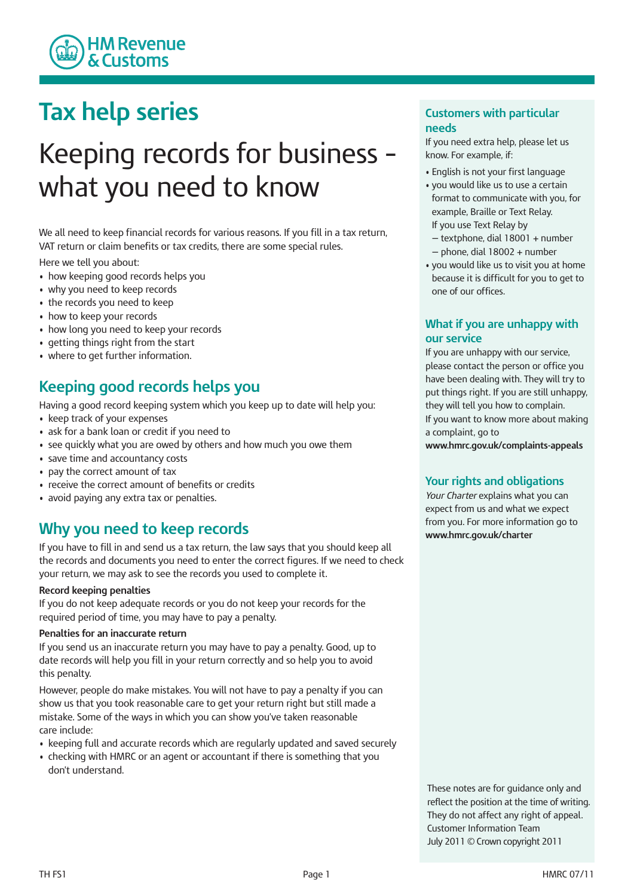

## **Tax help series**

# Keeping records for business – what you need to know

We all need to keep financial records for various reasons. If you fill in a tax return, VAT return or claim benefits or tax credits, there are some special rules.

Here we tell you about:

- how keeping good records helps you
- why you need to keep records
- the records you need to keep
- how to keep your records
- how long you need to keep your records
- getting things right from the start
- where to get further information.

## **Keeping good records helps you**

Having a good record keeping system which you keep up to date will help you:

- keep track of your expenses
- ask for a bank loan or credit if you need to
- see quickly what you are owed by others and how much you owe them
- save time and accountancy costs
- pay the correct amount of tax
- receive the correct amount of benefits or credits
- avoid paying any extra tax or penalties.

### **Why you need to keep records**

If you have to fill in and send us a tax return, the law says that you should keep all the records and documents you need to enter the correct figures. If we need to check your return, we may ask to see the records you used to complete it.

#### **Record keeping penalties**

If you do not keep adequate records or you do not keep your records for the required period of time, you may have to pay a penalty.

#### **Penalties for an inaccurate return**

If you send us an inaccurate return you may have to pay a penalty. Good, up to date records will help you fill in your return correctly and so help you to avoid this penalty.

However, people do make mistakes. You will not have to pay a penalty if you can show us that you took reasonable care to get your return right but still made a mistake. Some of the ways in which you can show you've taken reasonable care include:

- keeping full and accurate records which are regularly updated and saved securely
- checking with HMRC or an agent or accountant if there is something that you don't understand.

#### **Customers with particular needs**

If you need extra help, please let us know. For example, if:

- English is not your first language
- you would like us to use a certain format to communicate with you, for example, Braille or Text Relay. If you use Text Relay by
	- textphone, dial 18001 + number
	- $-$  phone, dial 18002 + number
- you would like us to visit you at home because it is difficult for you to get to one of our offices.

#### **What if you are unhappy with our service**

If you are unhappy with our service, please contact the person or office you have been dealing with. They will try to put things right. If you are still unhappy, they will tell you how to complain. If you want to know more about making a complaint, go to

**www.hmrc.gov.uk/complaints-appeals**

#### **Your rights and obligations**

*Your Charter* explains what you can expect from us and what we expect from you. For more information go to **www.hmrc.gov.uk/charter**

These notes are for guidance only and reflect the position at the time of writing. They do not affect any right of appeal. Customer Information Team July 2011 © Crown copyright 2011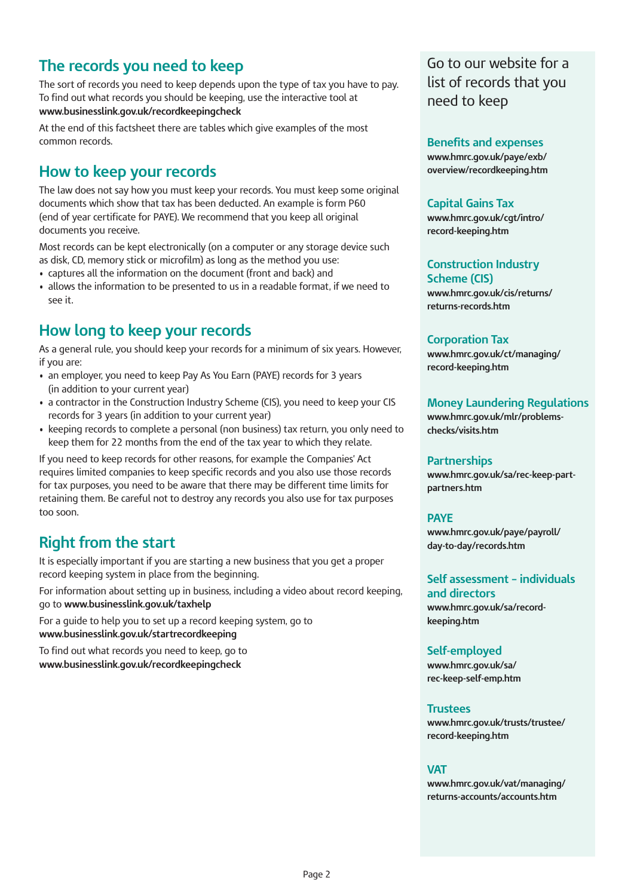## **The records you need to keep**

The sort of records you need to keep depends upon the type of tax you have to pay. To find out what records you should be keeping, use the interactive tool at **www.businesslink.gov.uk/recordkeepingcheck**

At the end of this factsheet there are tables which give examples of the most common records.

## **How to keep your records**

The law does not say how you must keep your records. You must keep some original documents which show that tax has been deducted. An example is form P60 (end of year certificate for PAYE). We recommend that you keep all original documents you receive.

Most records can be kept electronically (on a computer or any storage device such as disk, CD, memory stick or microfilm) as long as the method you use:

- captures all the information on the document (front and back) and
- allows the information to be presented to us in a readable format, if we need to see it.

## **How long to keep your records**

As a general rule, you should keep your records for a minimum of six years. However, if you are:

- an employer, you need to keep Pay As You Earn (PAYE) records for 3 years (in addition to your current year)
- a contractor in the Construction Industry Scheme (CIS), you need to keep your CIS records for 3 years (in addition to your current year)
- keeping records to complete a personal (non business) tax return, you only need to keep them for 22 months from the end of the tax year to which they relate.

If you need to keep records for other reasons, for example the Companies' Act requires limited companies to keep specific records and you also use those records for tax purposes, you need to be aware that there may be different time limits for retaining them. Be careful not to destroy any records you also use for tax purposes too soon.

## **Right from the start**

It is especially important if you are starting a new business that you get a proper record keeping system in place from the beginning.

For information about setting up in business, including a video about record keeping, go to **www.businesslink.gov.uk/taxhelp**

For a guide to help you to set up a record keeping system, go to **www.businesslink.gov.uk/startrecordkeeping**

To find out what records you need to keep, go to **www.businesslink.gov.uk/recordkeepingcheck**

Go to our website for a list of records that you need to keep

**Benefits and expenses www.hmrc.gov.uk/paye/exb/ [overview/recordkeeping.htm](www.hmrc.gov.uk/paye/exb/overview/recordkeeping.htm)**

#### **Capital Gains Tax**

**[www.hmrc.gov.uk/cgt/intro/](www.hmrc.gov.uk/uk/cgt/intro/recordkeeping.htm) record-keeping.htm**

**Construction Industry Scheme (CIS) [www.hmrc.gov.uk/cis/returns/](www.hmrc.gov.uk/cis/returns/returns-records.htm) returns-records.htm**

#### **Corporation Tax**

**[www.hmrc.gov.uk/ct/managing/](www.hmrc.gov.uk/ct/managing/record-keeping.htm) record-keeping.htm**

#### **Money Laundering Regulations**

**[www.hmrc.gov.uk/mlr/problems](www.hmrc.gov.uk/mlr/problems-checks/visits.htm)checks/visits.htm**

#### **Partnerships**

**[www.hmrc.gov.uk/sa/rec-keep-part](www.hmrc.gov.uk/sa/rec-keep-part-partners.htm)partners.htm**

#### **PAYE**

**[www.hmrc.gov.uk/paye/payroll/](www.hmrc.gov.uk/paye/payroll/day-to-day/records.htm) day-to-day/records.htm**

**Self assessment – individuals and directors [www.hmrc.gov.uk/sa/record-](www.hmrc.gov.uk/sa/record-keeping.htm)**

**keeping.htm**

#### **Self-employed**

**www.hmrc.gov.uk/sa/ [rec-keep-self-emp.htm](www.hmrc.gov.uk/sa/rec-keep-self-emp.htm)**

#### **Trustees**

**[www.hmrc.gov.uk/trusts/trustee/](www.hmrc.gov.uk/trusts/trustee/record-keeping.htm) record-keeping.htm**

#### **VAT**

**[www.hmrc.gov.uk/vat/managing/](www.hmrc.gov.uk/vat/managing/returns-accounts/accounts.htm) returns-accounts/accounts.htm**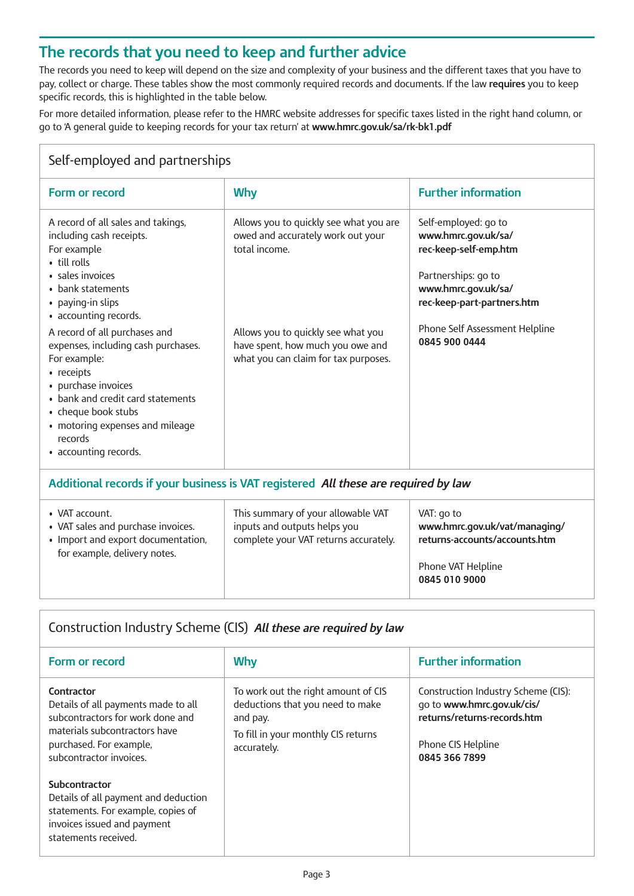## **The records that you need to keep and further advice**

The records you need to keep will depend on the size and complexity of your business and the different taxes that you have to pay, collect or charge. These tables show the most commonly required records and documents. If the law **requires** you to keep specific records, this is highlighted in the table below.

For more detailed information, please refer to the HMRC website addresses for specific taxes listed in the right hand column, or go to 'A general guide to keeping records for your tax return' at **www.hmrc.gov.uk/sa/rk-bk1.pdf**

| Self-employed and partnerships                                                                                                                                                                                                                               |                                                                                                                |                                                                                                                                                  |  |  |
|--------------------------------------------------------------------------------------------------------------------------------------------------------------------------------------------------------------------------------------------------------------|----------------------------------------------------------------------------------------------------------------|--------------------------------------------------------------------------------------------------------------------------------------------------|--|--|
| Form or record                                                                                                                                                                                                                                               | <b>Why</b>                                                                                                     | <b>Further information</b>                                                                                                                       |  |  |
| A record of all sales and takings,<br>including cash receipts.<br>For example<br>• till rolls<br>· sales invoices<br>• bank statements<br>• paying-in slips<br>• accounting records.                                                                         | Allows you to quickly see what you are<br>owed and accurately work out your<br>total income.                   | Self-employed: go to<br>www.hmrc.gov.uk/sa/<br>rec-keep-self-emp.htm<br>Partnerships: go to<br>www.hmrc.gov.uk/sa/<br>rec-keep-part-partners.htm |  |  |
| A record of all purchases and<br>expenses, including cash purchases.<br>For example:<br>• receipts<br>· purchase invoices<br>• bank and credit card statements<br>• cheque book stubs<br>• motoring expenses and mileage<br>records<br>• accounting records. | Allows you to quickly see what you<br>have spent, how much you owe and<br>what you can claim for tax purposes. | Phone Self Assessment Helpline<br>0845 900 0444                                                                                                  |  |  |
| Additional records if your business is VAT registered All these are required by law                                                                                                                                                                          |                                                                                                                |                                                                                                                                                  |  |  |

| • VAT account.<br>• VAT sales and purchase invoices.<br>• Import and export documentation,<br>for example, delivery notes. | This summary of your allowable VAT<br>inputs and outputs helps you<br>complete your VAT returns accurately. | VAT: go to<br>www.hmrc.gov.uk/vat/managing/<br>returns-accounts/accounts.htm<br>Phone VAT Helpline<br>0845 010 9000 |
|----------------------------------------------------------------------------------------------------------------------------|-------------------------------------------------------------------------------------------------------------|---------------------------------------------------------------------------------------------------------------------|
|----------------------------------------------------------------------------------------------------------------------------|-------------------------------------------------------------------------------------------------------------|---------------------------------------------------------------------------------------------------------------------|

#### Construction Industry Scheme (CIS) *All these are required by law*

| Form or record                                                                                                                                                               | <b>Why</b>                                                                                                                                | <b>Further information</b>                                                                                                              |
|------------------------------------------------------------------------------------------------------------------------------------------------------------------------------|-------------------------------------------------------------------------------------------------------------------------------------------|-----------------------------------------------------------------------------------------------------------------------------------------|
| Contractor<br>Details of all payments made to all<br>subcontractors for work done and<br>materials subcontractors have<br>purchased. For example,<br>subcontractor invoices. | To work out the right amount of CIS<br>deductions that you need to make<br>and pay.<br>To fill in your monthly CIS returns<br>accurately. | Construction Industry Scheme (CIS):<br>go to www.hmrc.gov.uk/cis/<br>returns/returns-records.htm<br>Phone CIS Helpline<br>0845 366 7899 |
| Subcontractor<br>Details of all payment and deduction<br>statements. For example, copies of<br>invoices issued and payment<br>statements received.                           |                                                                                                                                           |                                                                                                                                         |